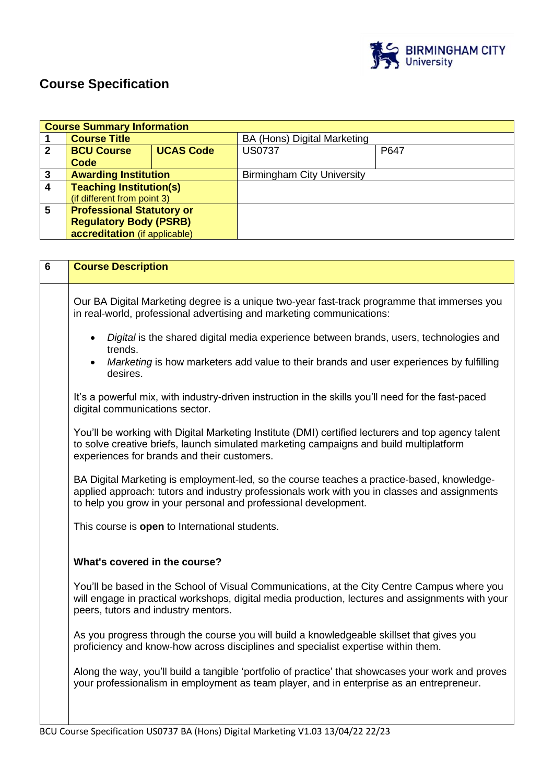

# **Course Specification**

|   | <b>Course Summary Information</b> |                  |                                   |      |
|---|-----------------------------------|------------------|-----------------------------------|------|
|   | <b>Course Title</b>               |                  | BA (Hons) Digital Marketing       |      |
| 2 | <b>BCU Course</b>                 | <b>UCAS Code</b> | <b>US0737</b>                     | P647 |
|   | Code                              |                  |                                   |      |
| 3 | <b>Awarding Institution</b>       |                  | <b>Birmingham City University</b> |      |
| 4 | <b>Teaching Institution(s)</b>    |                  |                                   |      |
|   | (if different from point 3)       |                  |                                   |      |
| 5 | <b>Professional Statutory or</b>  |                  |                                   |      |
|   | <b>Regulatory Body (PSRB)</b>     |                  |                                   |      |
|   | accreditation (if applicable)     |                  |                                   |      |

| $6\phantom{1}$ | <b>Course Description</b>                                                                                                                                                                                                                                     |
|----------------|---------------------------------------------------------------------------------------------------------------------------------------------------------------------------------------------------------------------------------------------------------------|
|                | Our BA Digital Marketing degree is a unique two-year fast-track programme that immerses you<br>in real-world, professional advertising and marketing communications:                                                                                          |
|                | Digital is the shared digital media experience between brands, users, technologies and<br>$\bullet$<br>trends.<br>Marketing is how marketers add value to their brands and user experiences by fulfilling<br>$\bullet$                                        |
|                | desires.                                                                                                                                                                                                                                                      |
|                | It's a powerful mix, with industry-driven instruction in the skills you'll need for the fast-paced<br>digital communications sector.                                                                                                                          |
|                | You'll be working with Digital Marketing Institute (DMI) certified lecturers and top agency talent<br>to solve creative briefs, launch simulated marketing campaigns and build multiplatform<br>experiences for brands and their customers.                   |
|                | BA Digital Marketing is employment-led, so the course teaches a practice-based, knowledge-<br>applied approach: tutors and industry professionals work with you in classes and assignments<br>to help you grow in your personal and professional development. |
|                | This course is open to International students.                                                                                                                                                                                                                |
|                | What's covered in the course?                                                                                                                                                                                                                                 |
|                | You'll be based in the School of Visual Communications, at the City Centre Campus where you<br>will engage in practical workshops, digital media production, lectures and assignments with your<br>peers, tutors and industry mentors.                        |
|                | As you progress through the course you will build a knowledgeable skillset that gives you<br>proficiency and know-how across disciplines and specialist expertise within them.                                                                                |
|                | Along the way, you'll build a tangible 'portfolio of practice' that showcases your work and proves<br>your professionalism in employment as team player, and in enterprise as an entrepreneur.                                                                |
|                |                                                                                                                                                                                                                                                               |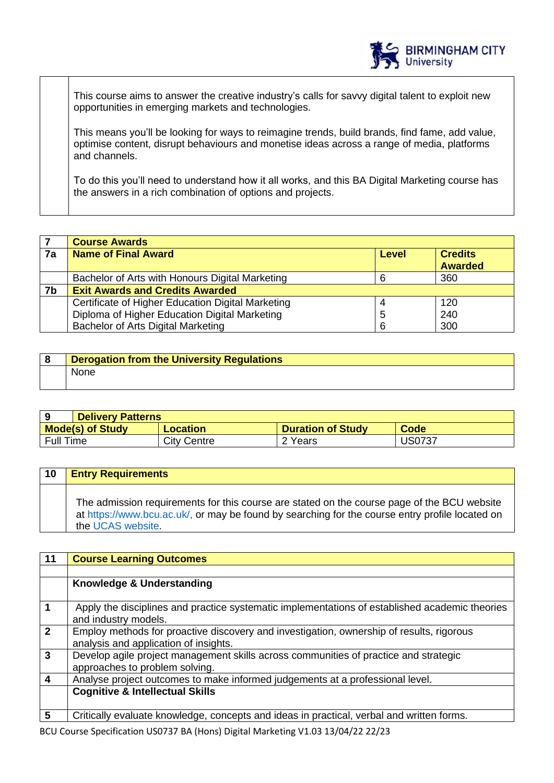

This course aims to answer the creative industry's calls for savvy digital talent to exploit new opportunities in emerging markets and technologies.

This means you'll be looking for ways to reimagine trends, build brands, find fame, add value, optimise content, disrupt behaviours and monetise ideas across a range of media, platforms and channels.

To do this you'll need to understand how it all works, and this BA Digital Marketing course has the answers in a rich combination of options and projects.

|    | <b>Course Awards</b>                                         |   |                |
|----|--------------------------------------------------------------|---|----------------|
| 7a | <b>Name of Final Award</b><br><b>Credits</b><br><b>Level</b> |   |                |
|    |                                                              |   | <b>Awarded</b> |
|    | Bachelor of Arts with Honours Digital Marketing              |   | 360            |
| 7b | <b>Exit Awards and Credits Awarded</b>                       |   |                |
|    | Certificate of Higher Education Digital Marketing            |   | 120            |
|    | Diploma of Higher Education Digital Marketing                | 5 | 240            |
|    | Bachelor of Arts Digital Marketing                           | 6 | 300            |

| <b>Derogation from the University Regulations</b> |
|---------------------------------------------------|
| <b>None</b>                                       |

|                         | <b>Delivery Patterns</b> |                          |               |
|-------------------------|--------------------------|--------------------------|---------------|
| <b>Mode(s) of Study</b> | Location                 | <b>Duration of Study</b> | Code          |
| <b>Full Time</b>        | City Centre              | 2 Years                  | <b>US0737</b> |

| 10 | <b>Entry Requirements</b>                                                                                                                                                                                           |
|----|---------------------------------------------------------------------------------------------------------------------------------------------------------------------------------------------------------------------|
|    | The admission requirements for this course are stated on the course page of the BCU website<br>at https://www.bcu.ac.uk/, or may be found by searching for the course entry profile located on<br>the UCAS website. |

| 11                   | <b>Course Learning Outcomes</b>                                                                                                   |
|----------------------|-----------------------------------------------------------------------------------------------------------------------------------|
|                      |                                                                                                                                   |
|                      | Knowledge & Understanding                                                                                                         |
| $\blacktriangleleft$ | Apply the disciplines and practice systematic implementations of established academic theories<br>and industry models.            |
| $\overline{2}$       | Employ methods for proactive discovery and investigation, ownership of results, rigorous<br>analysis and application of insights. |
| $\mathbf{3}$         | Develop agile project management skills across communities of practice and strategic<br>approaches to problem solving.            |
| $\overline{4}$       | Analyse project outcomes to make informed judgements at a professional level.                                                     |
|                      | <b>Cognitive &amp; Intellectual Skills</b>                                                                                        |
| 5                    | Critically evaluate knowledge, concepts and ideas in practical, verbal and written forms.                                         |

BCU Course Specification US0737 BA (Hons) Digital Marketing V1.03 13/04/22 22/23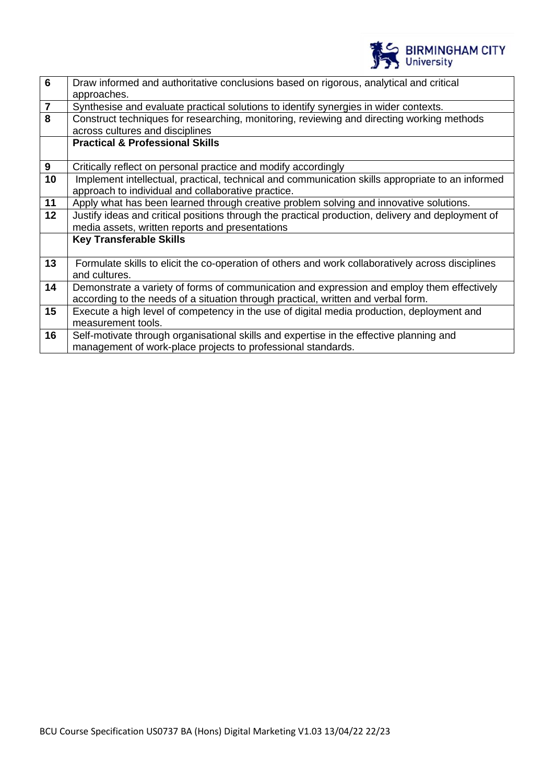

| $6\phantom{1}$          | Draw informed and authoritative conclusions based on rigorous, analytical and critical<br>approaches.                                                                           |
|-------------------------|---------------------------------------------------------------------------------------------------------------------------------------------------------------------------------|
| $\overline{\mathbf{r}}$ | Synthesise and evaluate practical solutions to identify synergies in wider contexts.                                                                                            |
| 8                       | Construct techniques for researching, monitoring, reviewing and directing working methods<br>across cultures and disciplines                                                    |
|                         | <b>Practical &amp; Professional Skills</b>                                                                                                                                      |
| 9                       | Critically reflect on personal practice and modify accordingly                                                                                                                  |
| 10                      | Implement intellectual, practical, technical and communication skills appropriate to an informed<br>approach to individual and collaborative practice.                          |
| 11                      | Apply what has been learned through creative problem solving and innovative solutions.                                                                                          |
| 12                      | Justify ideas and critical positions through the practical production, delivery and deployment of<br>media assets, written reports and presentations                            |
|                         | <b>Key Transferable Skills</b>                                                                                                                                                  |
| 13                      | Formulate skills to elicit the co-operation of others and work collaboratively across disciplines<br>and cultures.                                                              |
| 14                      | Demonstrate a variety of forms of communication and expression and employ them effectively<br>according to the needs of a situation through practical, written and verbal form. |
| 15                      | Execute a high level of competency in the use of digital media production, deployment and<br>measurement tools.                                                                 |
| 16                      | Self-motivate through organisational skills and expertise in the effective planning and<br>management of work-place projects to professional standards.                         |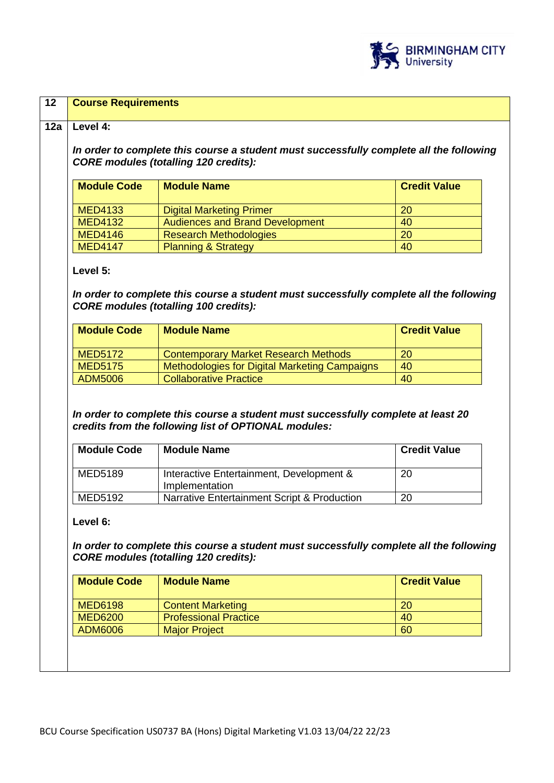

|                                                                                                 | In order to complete this course a student must successfully complete all the following<br><b>CORE modules (totalling 120 credits):</b>                                                                                   |                                 |
|-------------------------------------------------------------------------------------------------|---------------------------------------------------------------------------------------------------------------------------------------------------------------------------------------------------------------------------|---------------------------------|
| <b>Module Code</b>                                                                              | <b>Module Name</b>                                                                                                                                                                                                        | <b>Credit Value</b>             |
| <b>MED4133</b>                                                                                  | <b>Digital Marketing Primer</b>                                                                                                                                                                                           | 20                              |
| <b>MED4132</b>                                                                                  | <b>Audiences and Brand Development</b>                                                                                                                                                                                    | 40                              |
| <b>MED4146</b>                                                                                  | <b>Research Methodologies</b>                                                                                                                                                                                             | 20                              |
| <b>MED4147</b>                                                                                  | <b>Planning &amp; Strategy</b>                                                                                                                                                                                            | 40                              |
| <b>Module Code</b>                                                                              | <b>Module Name</b>                                                                                                                                                                                                        | <b>Credit Value</b>             |
|                                                                                                 |                                                                                                                                                                                                                           |                                 |
|                                                                                                 | <b>Contemporary Market Research Methods</b>                                                                                                                                                                               | 20                              |
|                                                                                                 | <b>Methodologies for Digital Marketing Campaigns</b>                                                                                                                                                                      | 40                              |
| <b>ADM5006</b>                                                                                  | <b>Collaborative Practice</b><br>In order to complete this course a student must successfully complete at least 20                                                                                                        | 40                              |
| <b>MED5172</b><br><b>MED5175</b><br><b>Module Code</b><br><b>MED5189</b><br>MED5192<br>Level 6: | credits from the following list of OPTIONAL modules:<br><b>Module Name</b><br>Interactive Entertainment, Development &<br>Implementation<br>Narrative Entertainment Script & Production                                   | <b>Credit Value</b><br>20<br>20 |
| <b>Module Code</b><br><b>MED6198</b><br><b>MED6200</b>                                          | In order to complete this course a student must successfully complete all the following<br><b>CORE modules (totalling 120 credits):</b><br><b>Module Name</b><br><b>Content Marketing</b><br><b>Professional Practice</b> | <b>Credit Value</b><br>20<br>40 |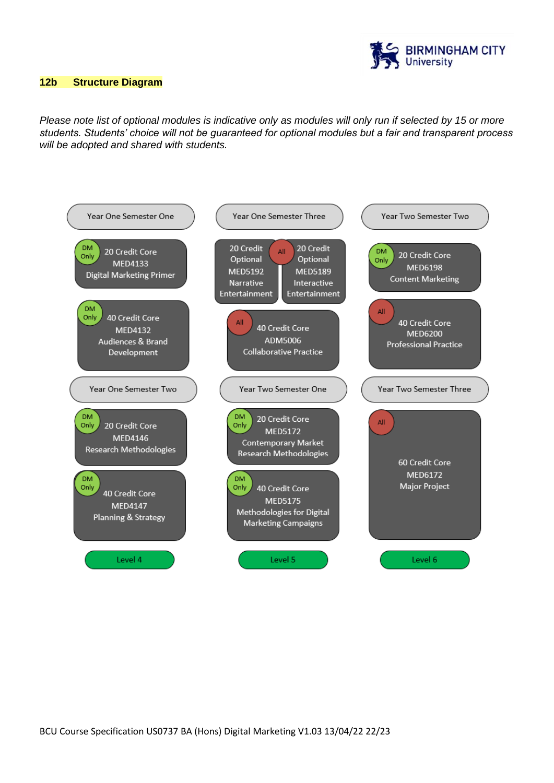

#### **12b Structure Diagram**

*Please note list of optional modules is indicative only as modules will only run if selected by 15 or more students. Students' choice will not be guaranteed for optional modules but a fair and transparent process will be adopted and shared with students.*

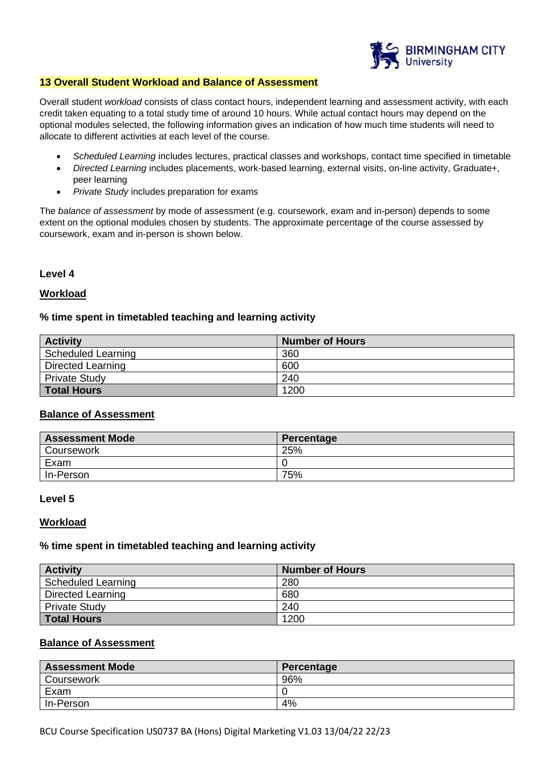

## **13 Overall Student Workload and Balance of Assessment**

Overall student *workload* consists of class contact hours, independent learning and assessment activity, with each credit taken equating to a total study time of around 10 hours. While actual contact hours may depend on the optional modules selected, the following information gives an indication of how much time students will need to allocate to different activities at each level of the course.

- *Scheduled Learning* includes lectures, practical classes and workshops, contact time specified in timetable
- *Directed Learning* includes placements, work-based learning, external visits, on-line activity, Graduate+, peer learning
- *Private Study* includes preparation for exams

The *balance of assessment* by mode of assessment (e.g. coursework, exam and in-person) depends to some extent on the optional modules chosen by students. The approximate percentage of the course assessed by coursework, exam and in-person is shown below.

#### **Level 4**

## **Workload**

## **% time spent in timetabled teaching and learning activity**

| <b>Activity</b>          | <b>Number of Hours</b> |
|--------------------------|------------------------|
| Scheduled Learning       | 360                    |
| <b>Directed Learning</b> | 600                    |
| <b>Private Study</b>     | 240                    |
| <b>Total Hours</b>       | 1200                   |

## **Balance of Assessment**

| <b>Assessment Mode</b> | Percentage |
|------------------------|------------|
| Coursework             | 25%        |
| Exam                   |            |
| In-Person              | 75%        |

#### **Level 5**

#### **Workload**

#### **% time spent in timetabled teaching and learning activity**

| <b>Activity</b>           | Number of Hours |
|---------------------------|-----------------|
| <b>Scheduled Learning</b> | 280             |
| Directed Learning         | 680             |
| <b>Private Study</b>      | 240             |
| <b>Total Hours</b>        | 1200            |

## **Balance of Assessment**

| <b>Assessment Mode</b> | Percentage |
|------------------------|------------|
| Coursework             | 96%        |
| Exam                   |            |
| In-Person              | 4%         |

BCU Course Specification US0737 BA (Hons) Digital Marketing V1.03 13/04/22 22/23